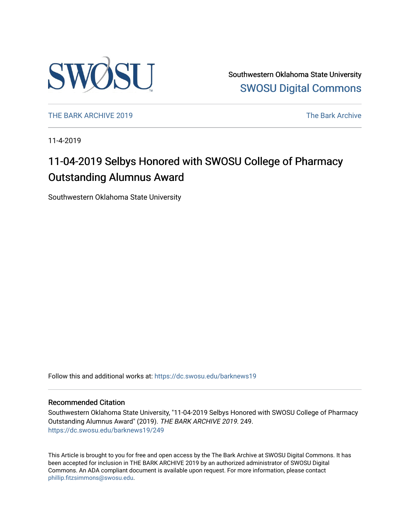

Southwestern Oklahoma State University [SWOSU Digital Commons](https://dc.swosu.edu/) 

[THE BARK ARCHIVE 2019](https://dc.swosu.edu/barknews19) The Bark Archive

11-4-2019

### 11-04-2019 Selbys Honored with SWOSU College of Pharmacy Outstanding Alumnus Award

Southwestern Oklahoma State University

Follow this and additional works at: [https://dc.swosu.edu/barknews19](https://dc.swosu.edu/barknews19?utm_source=dc.swosu.edu%2Fbarknews19%2F249&utm_medium=PDF&utm_campaign=PDFCoverPages)

#### Recommended Citation

Southwestern Oklahoma State University, "11-04-2019 Selbys Honored with SWOSU College of Pharmacy Outstanding Alumnus Award" (2019). THE BARK ARCHIVE 2019. 249. [https://dc.swosu.edu/barknews19/249](https://dc.swosu.edu/barknews19/249?utm_source=dc.swosu.edu%2Fbarknews19%2F249&utm_medium=PDF&utm_campaign=PDFCoverPages)

This Article is brought to you for free and open access by the The Bark Archive at SWOSU Digital Commons. It has been accepted for inclusion in THE BARK ARCHIVE 2019 by an authorized administrator of SWOSU Digital Commons. An ADA compliant document is available upon request. For more information, please contact [phillip.fitzsimmons@swosu.edu](mailto:phillip.fitzsimmons@swosu.edu).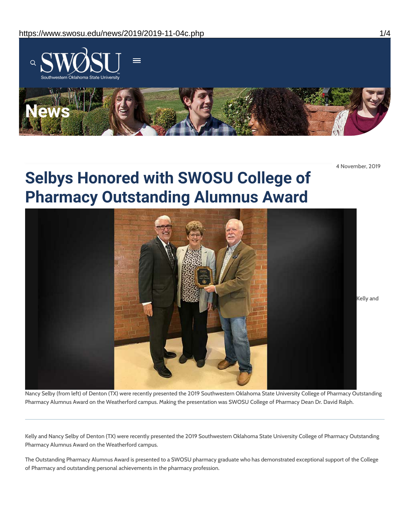

4 November, 2019

## **Selbys Honored with SWOSU College of Pharmacy Outstanding Alumnus Award**



Nancy Selby (from left) of Denton (TX) were recently presented the 2019 Southwestern Oklahoma State University College of Pharmacy Outstanding Pharmacy Alumnus Award on the Weatherford campus. Making the presentation was SWOSU College of Pharmacy Dean Dr. David Ralph.

Kelly and Nancy Selby of Denton (TX) were recently presented the 2019 Southwestern Oklahoma State University College of Pharmacy Outstanding Pharmacy Alumnus Award on the Weatherford campus.

The Outstanding Pharmacy Alumnus Award is presented to a SWOSU pharmacy graduate who has demonstrated exceptional support of the College of Pharmacy and outstanding personal achievements in the pharmacy profession.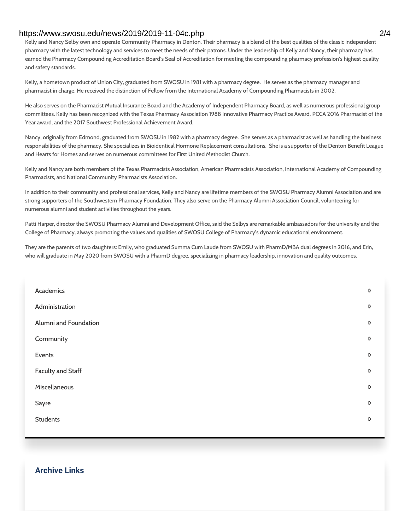#### https://www.swosu.edu/news/2019/2019-11-04c.php 2/4

Kelly and Nancy Selby own and operate Community Pharmacy in Denton. Their pharmacy is a blend of the best qualities of the classic independent pharmacy with the latest technology and services to meet the needs of their patrons. Under the leadership of Kelly and Nancy, their pharmacy has earned the Pharmacy Compounding Accreditation Board's Seal of Accreditation for meeting the compounding pharmacy profession's highest quality and safety standards.

Kelly, a hometown product of Union City, graduated from SWOSU in 1981 with a pharmacy degree. He serves as the pharmacy manager and pharmacist in charge. He received the distinction of Fellow from the International Academy of Compounding Pharmacists in 2002.

He also serves on the Pharmacist Mutual Insurance Board and the Academy of Independent Pharmacy Board, as well as numerous professional group committees. Kelly has been recognized with the Texas Pharmacy Association 1988 Innovative Pharmacy Practice Award, PCCA 2016 Pharmacist of the Year award, and the 2017 Southwest Professional Achievement Award.

Nancy, originally from Edmond, graduated from SWOSU in 1982 with a pharmacy degree. She serves as a pharmacist as well as handling the business responsibilities of the pharmacy. She specializes in Bioidentical Hormone Replacement consultations. She is a supporter of the Denton Benefit League and Hearts for Homes and serves on numerous committees for First United Methodist Church.

Kelly and Nancy are both members of the Texas Pharmacists Association, American Pharmacists Association, International Academy of Compounding Pharmacists, and National Community Pharmacists Association.

In addition to their community and professional services, Kelly and Nancy are lifetime members of the SWOSU Pharmacy Alumni Association and are strong supporters of the Southwestern Pharmacy Foundation. They also serve on the Pharmacy Alumni Association Council, volunteering for numerous alumni and student activities throughout the years.

Patti Harper, director the SWOSU Pharmacy Alumni and Development Office, said the Selbys are remarkable ambassadors for the university and the College of Pharmacy, always promoting the values and qualities of SWOSU College of Pharmacy's dynamic educational environment.

They are the parents of two daughters: Emily, who graduated Summa Cum Laude from SWOSU with PharmD/MBA dual degrees in 2016, and Erin, who will graduate in May 2020 from SWOSU with a PharmD degree, specializing in pharmacy leadership, innovation and quality outcomes.

| Academics                | D |
|--------------------------|---|
| Administration           | D |
| Alumni and Foundation    | D |
| Community                | D |
| Events                   | D |
| <b>Faculty and Staff</b> | D |
| Miscellaneous            | D |
| Sayre                    | D |
| <b>Students</b>          | D |
|                          |   |

#### **Archive Links**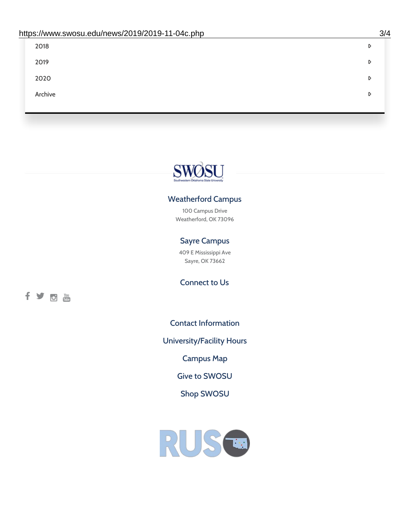| 2018    | D |
|---------|---|
| 2019    | D |
| 2020    | D |
| Archive | D |
|         |   |

# SWOSU

#### Weatherford Campus

100 Campus Drive Weatherford, OK 73096

#### Sayre Campus

409 E Mississippi Ave Sayre, OK 73662

fyom

Connect to Us

Contact [Information](https://www.swosu.edu/about/contact.php)

[University/Facility](https://www.swosu.edu/about/operating-hours.php) Hours

[Campus](https://map.concept3d.com/?id=768#!ct/10964,10214,10213,10212,10205,10204,10203,10202,10136,10129,10128,0,31226,10130,10201,10641,0) Map

Give to [SWOSU](https://standingfirmly.com/donate)

Shop [SWOSU](https://shopswosu.merchorders.com/)